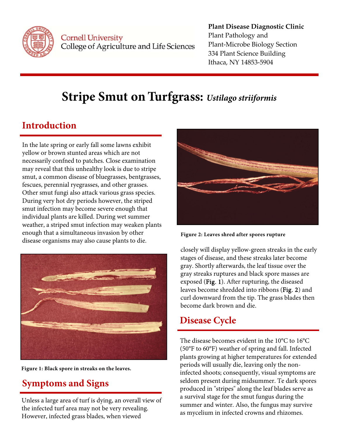

Cornell University College of Agriculture and Life Sciences

#### **Plant Disease Diagnostic Clinic** Plant Pathology and Plant‐Microbe Biology Section 334 Plant Science Building Ithaca, NY 14853‐5904

# **Stripe Smut on Turfgrass:** *Ustilago striiformis*

## **Introduction**

In the late spring or early fall some lawns exhibit yellow or brown stunted areas which are not necessarily confned to patches. Close examination may reveal that this unhealthy look is due to stripe smut, a common disease of bluegrasses, bentgrasses, fescues, perennial ryegrasses, and other grasses. Other smut fungi also attack various grass species. During very hot dry periods however, the striped smut infection may become severe enough that individual plants are killed. During wet summer weather, a striped smut infection may weaken plants enough that a simultaneous invasion by other disease organisms may also cause plants to die.



**Figure 1: Black spore in streaks on the leaves.** 

## **Symptoms and Signs**

Unless a large area of turf is dying, an overall view of the infected turf area may not be very revealing. However, infected grass blades, when viewed



**Figure 2: Leaves shred after spores rupture** 

 gray streaks ruptures and black spore masses are closely will display yellow-green streaks in the early stages of disease, and these streaks later become gray. Shortly afterwards, the leaf tissue over the exposed (Fig. 1). After rupturing, the diseased leaves become shredded into ribbons (Fig. 2) and curl downward from the tip. The grass blades then become dark brown and die.

## **Disease Cycle**

The disease becomes evident in the 10°C to 16°C (50°F to 60°F) weather of spring and fall. Infected plants growing at higher temperatures for extended periods will usually die, leaving only the noninfected shoots; consequently, visual symptoms are seldom present during midsummer. Te dark spores produced in "stripes" along the leaf blades serve as a survival stage for the smut fungus during the summer and winter. Also, the fungus may survive as mycelium in infected crowns and rhizomes.